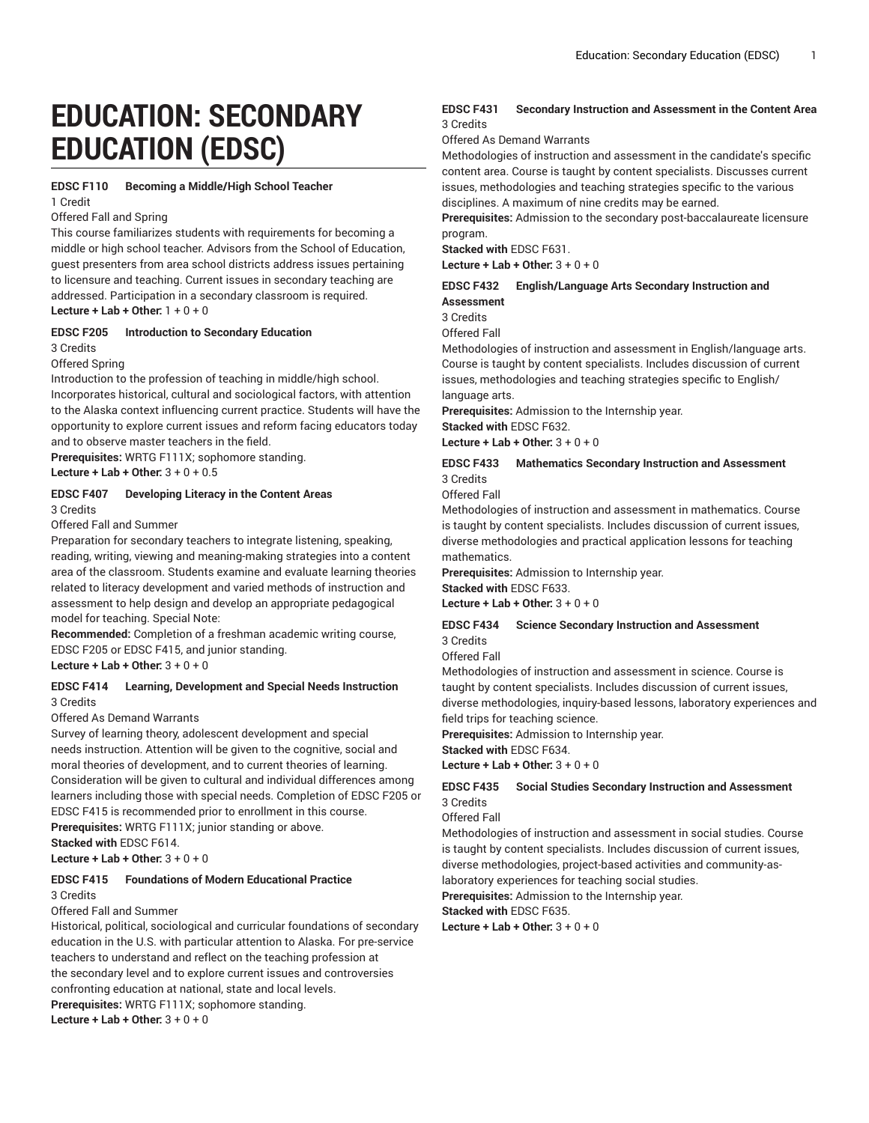# **EDUCATION: SECONDARY EDUCATION (EDSC)**

#### **EDSC F110 Becoming a Middle/High School Teacher**

1 Credit

# Offered Fall and Spring

This course familiarizes students with requirements for becoming a middle or high school teacher. Advisors from the School of Education, guest presenters from area school districts address issues pertaining to licensure and teaching. Current issues in secondary teaching are addressed. Participation in a secondary classroom is required. **Lecture + Lab + Other:** 1 + 0 + 0

#### **EDSC F205 Introduction to Secondary Education**

3 Credits

#### Offered Spring

Introduction to the profession of teaching in middle/high school. Incorporates historical, cultural and sociological factors, with attention to the Alaska context influencing current practice. Students will have the opportunity to explore current issues and reform facing educators today and to observe master teachers in the field.

**Prerequisites:** WRTG F111X; sophomore standing.

**Lecture + Lab + Other:** 3 + 0 + 0.5

# **EDSC F407 Developing Literacy in the Content Areas**

3 Credits

Offered Fall and Summer

Preparation for secondary teachers to integrate listening, speaking, reading, writing, viewing and meaning-making strategies into a content area of the classroom. Students examine and evaluate learning theories related to literacy development and varied methods of instruction and assessment to help design and develop an appropriate pedagogical model for teaching. Special Note:

**Recommended:** Completion of a freshman academic writing course, EDSC F205 or EDSC F415, and junior standing.

**Lecture + Lab + Other:** 3 + 0 + 0

# **EDSC F414 Learning, Development and Special Needs Instruction** 3 Credits

#### Offered As Demand Warrants

Survey of learning theory, adolescent development and special needs instruction. Attention will be given to the cognitive, social and moral theories of development, and to current theories of learning. Consideration will be given to cultural and individual differences among learners including those with special needs. Completion of EDSC F205 or EDSC F415 is recommended prior to enrollment in this course. **Prerequisites:** WRTG F111X; junior standing or above.

**Stacked with** EDSC F614. **Lecture + Lab + Other:** 3 + 0 + 0

# **EDSC F415 Foundations of Modern Educational Practice**

3 Credits

#### Offered Fall and Summer

Historical, political, sociological and curricular foundations of secondary education in the U.S. with particular attention to Alaska. For pre-service teachers to understand and reflect on the teaching profession at the secondary level and to explore current issues and controversies confronting education at national, state and local levels. **Prerequisites:** WRTG F111X; sophomore standing.

**Lecture + Lab + Other:** 3 + 0 + 0

# **EDSC F431 Secondary Instruction and Assessment in the Content Area** 3 Credits

Offered As Demand Warrants

Methodologies of instruction and assessment in the candidate's specific content area. Course is taught by content specialists. Discusses current issues, methodologies and teaching strategies specific to the various disciplines. A maximum of nine credits may be earned.

**Prerequisites:** Admission to the secondary post-baccalaureate licensure program.

**Stacked with** EDSC F631.

**Lecture + Lab + Other:** 3 + 0 + 0

# **EDSC F432 English/Language Arts Secondary Instruction and Assessment**

3 Credits

Offered Fall

Methodologies of instruction and assessment in English/language arts. Course is taught by content specialists. Includes discussion of current issues, methodologies and teaching strategies specific to English/ language arts.

**Prerequisites:** Admission to the Internship year.

**Stacked with** EDSC F632.

**Lecture + Lab + Other:** 3 + 0 + 0

#### **EDSC F433 Mathematics Secondary Instruction and Assessment** 3 Credits

Offered Fall

Methodologies of instruction and assessment in mathematics. Course is taught by content specialists. Includes discussion of current issues, diverse methodologies and practical application lessons for teaching mathematics.

**Prerequisites:** Admission to Internship year.

**Stacked with** EDSC F633.

**Lecture + Lab + Other:** 3 + 0 + 0

#### **EDSC F434 Science Secondary Instruction and Assessment** 3 Credits

Offered Fall

Methodologies of instruction and assessment in science. Course is taught by content specialists. Includes discussion of current issues, diverse methodologies, inquiry-based lessons, laboratory experiences and field trips for teaching science.

**Prerequisites:** Admission to Internship year. **Stacked with** EDSC F634.

**Lecture + Lab + Other:** 3 + 0 + 0

# **EDSC F435 Social Studies Secondary Instruction and Assessment** 3 Credits

Offered Fall

Methodologies of instruction and assessment in social studies. Course is taught by content specialists. Includes discussion of current issues, diverse methodologies, project-based activities and community-aslaboratory experiences for teaching social studies.

**Prerequisites:** Admission to the Internship year.

**Stacked with** EDSC F635.

**Lecture + Lab + Other:** 3 + 0 + 0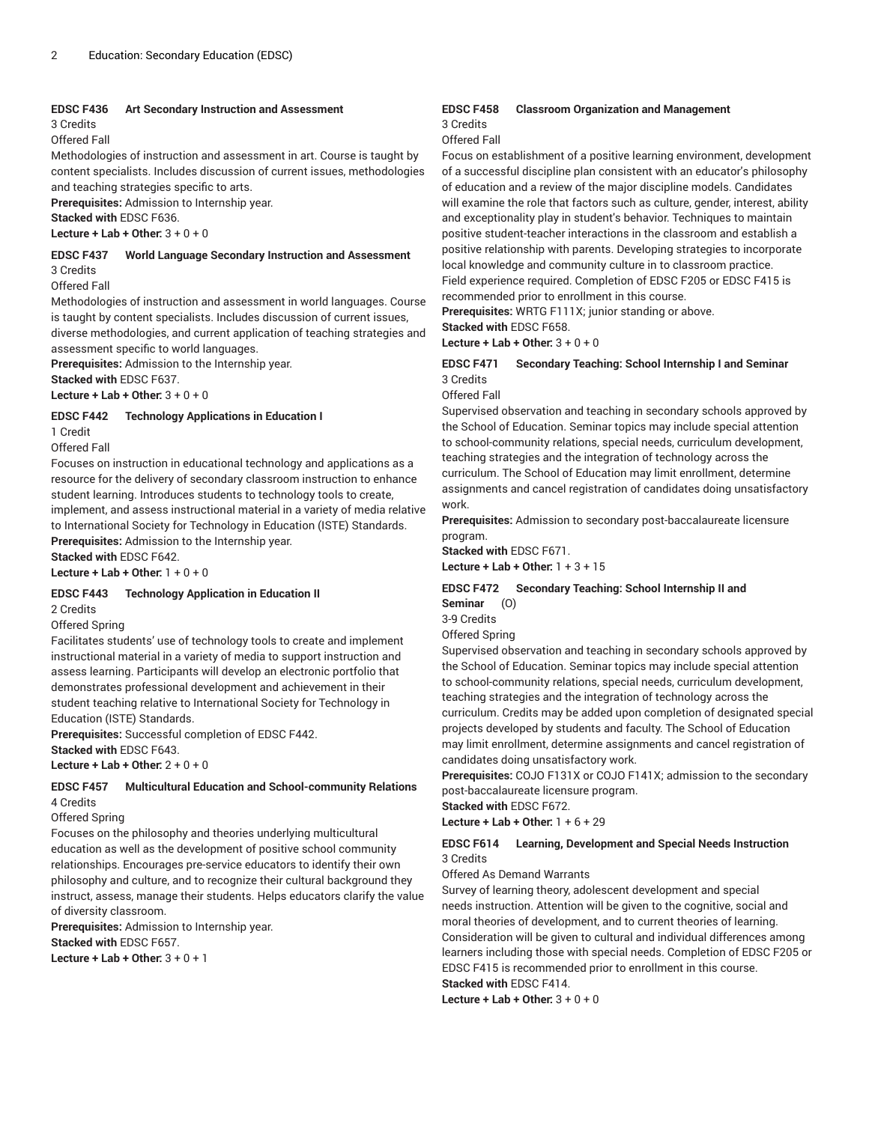#### **EDSC F436 Art Secondary Instruction and Assessment**

#### 3 Credits

#### Offered Fall

Methodologies of instruction and assessment in art. Course is taught by content specialists. Includes discussion of current issues, methodologies and teaching strategies specific to arts.

**Prerequisites:** Admission to Internship year.

**Stacked with** EDSC F636.

**Lecture + Lab + Other:** 3 + 0 + 0

#### **EDSC F437 World Language Secondary Instruction and Assessment** 3 Credits

Offered Fall

Methodologies of instruction and assessment in world languages. Course is taught by content specialists. Includes discussion of current issues, diverse methodologies, and current application of teaching strategies and

assessment specific to world languages.

**Prerequisites:** Admission to the Internship year.

**Stacked with** EDSC F637.

**Lecture + Lab + Other:** 3 + 0 + 0

#### **EDSC F442 Technology Applications in Education I**

1 Credit

Offered Fall

Focuses on instruction in educational technology and applications as a resource for the delivery of secondary classroom instruction to enhance student learning. Introduces students to technology tools to create, implement, and assess instructional material in a variety of media relative to International Society for Technology in Education (ISTE) Standards. **Prerequisites:** Admission to the Internship year.

**Stacked with** EDSC F642.

**Lecture + Lab + Other:** 1 + 0 + 0

#### **EDSC F443 Technology Application in Education II**

2 Credits

Offered Spring

Facilitates students' use of technology tools to create and implement instructional material in a variety of media to support instruction and assess learning. Participants will develop an electronic portfolio that demonstrates professional development and achievement in their student teaching relative to International Society for Technology in Education (ISTE) Standards.

**Prerequisites:** Successful completion of EDSC F442.

**Stacked with** EDSC F643.

**Lecture + Lab + Other:** 2 + 0 + 0

# **EDSC F457 Multicultural Education and School-community Relations** 4 Credits

Offered Spring

Focuses on the philosophy and theories underlying multicultural education as well as the development of positive school community relationships. Encourages pre-service educators to identify their own philosophy and culture, and to recognize their cultural background they instruct, assess, manage their students. Helps educators clarify the value of diversity classroom.

**Prerequisites:** Admission to Internship year. **Stacked with** EDSC F657.

**Lecture + Lab + Other:** 3 + 0 + 1

#### **EDSC F458 Classroom Organization and Management** 3 Credits

# Offered Fall

Focus on establishment of a positive learning environment, development of a successful discipline plan consistent with an educator's philosophy of education and a review of the major discipline models. Candidates will examine the role that factors such as culture, gender, interest, ability and exceptionality play in student's behavior. Techniques to maintain positive student-teacher interactions in the classroom and establish a positive relationship with parents. Developing strategies to incorporate local knowledge and community culture in to classroom practice. Field experience required. Completion of EDSC F205 or EDSC F415 is recommended prior to enrollment in this course.

**Prerequisites:** WRTG F111X; junior standing or above.

**Stacked with** EDSC F658.

**Lecture + Lab + Other:** 3 + 0 + 0

#### **EDSC F471 Secondary Teaching: School Internship I and Seminar** 3 Credits

Offered Fall

Supervised observation and teaching in secondary schools approved by the School of Education. Seminar topics may include special attention to school-community relations, special needs, curriculum development, teaching strategies and the integration of technology across the curriculum. The School of Education may limit enrollment, determine assignments and cancel registration of candidates doing unsatisfactory work.

**Prerequisites:** Admission to secondary post-baccalaureate licensure program.

**Stacked with** EDSC F671.

**Lecture + Lab + Other:** 1 + 3 + 15

# **EDSC F472 Secondary Teaching: School Internship II and Seminar** (O)

3-9 Credits

Offered Spring

Supervised observation and teaching in secondary schools approved by the School of Education. Seminar topics may include special attention to school-community relations, special needs, curriculum development, teaching strategies and the integration of technology across the curriculum. Credits may be added upon completion of designated special projects developed by students and faculty. The School of Education may limit enrollment, determine assignments and cancel registration of candidates doing unsatisfactory work.

**Prerequisites:** COJO F131X or COJO F141X; admission to the secondary post-baccalaureate licensure program.

**Stacked with** EDSC F672.

**Lecture + Lab + Other:** 1 + 6 + 29

#### **EDSC F614 Learning, Development and Special Needs Instruction** 3 Credits

Offered As Demand Warrants

Survey of learning theory, adolescent development and special needs instruction. Attention will be given to the cognitive, social and moral theories of development, and to current theories of learning. Consideration will be given to cultural and individual differences among learners including those with special needs. Completion of EDSC F205 or EDSC F415 is recommended prior to enrollment in this course.

**Stacked with** EDSC F414.

**Lecture + Lab + Other:** 3 + 0 + 0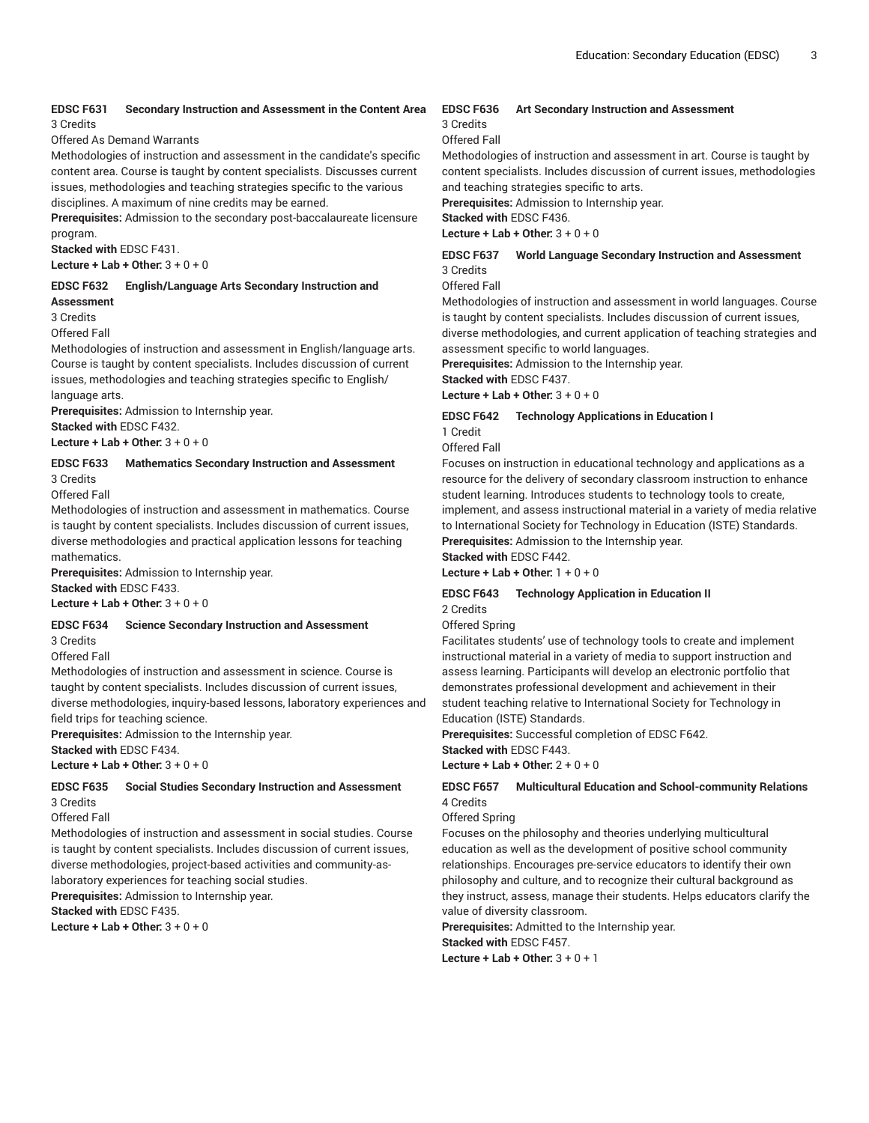## **EDSC F631 Secondary Instruction and Assessment in the Content Area** 3 Credits

#### Offered As Demand Warrants

Methodologies of instruction and assessment in the candidate's specific content area. Course is taught by content specialists. Discusses current issues, methodologies and teaching strategies specific to the various disciplines. A maximum of nine credits may be earned.

**Prerequisites:** Admission to the secondary post-baccalaureate licensure program.

**Stacked with** EDSC F431.

**Lecture + Lab + Other:** 3 + 0 + 0

#### **EDSC F632 English/Language Arts Secondary Instruction and Assessment**

#### 3 Credits

Offered Fall

Methodologies of instruction and assessment in English/language arts. Course is taught by content specialists. Includes discussion of current issues, methodologies and teaching strategies specific to English/ language arts.

**Prerequisites:** Admission to Internship year.

**Stacked with** EDSC F432.

**Lecture + Lab + Other:** 3 + 0 + 0

#### **EDSC F633 Mathematics Secondary Instruction and Assessment** 3 Credits

Offered Fall

Methodologies of instruction and assessment in mathematics. Course is taught by content specialists. Includes discussion of current issues, diverse methodologies and practical application lessons for teaching mathematics.

**Prerequisites:** Admission to Internship year.

**Stacked with** EDSC F433.

**Lecture + Lab + Other:** 3 + 0 + 0

# **EDSC F634 Science Secondary Instruction and Assessment**

3 Credits

Offered Fall

Methodologies of instruction and assessment in science. Course is taught by content specialists. Includes discussion of current issues, diverse methodologies, inquiry-based lessons, laboratory experiences and field trips for teaching science.

**Prerequisites:** Admission to the Internship year.

**Stacked with** EDSC F434.

**Lecture + Lab + Other:** 3 + 0 + 0

**EDSC F635 Social Studies Secondary Instruction and Assessment** 3 Credits

Offered Fall

Methodologies of instruction and assessment in social studies. Course is taught by content specialists. Includes discussion of current issues, diverse methodologies, project-based activities and community-aslaboratory experiences for teaching social studies.

**Prerequisites:** Admission to Internship year.

**Stacked with** EDSC F435.

**Lecture + Lab + Other:** 3 + 0 + 0

# **EDSC F636 Art Secondary Instruction and Assessment**

# 3 Credits

Offered Fall

Methodologies of instruction and assessment in art. Course is taught by content specialists. Includes discussion of current issues, methodologies and teaching strategies specific to arts.

**Prerequisites:** Admission to Internship year.

**Stacked with** EDSC F436.

**Lecture + Lab + Other:** 3 + 0 + 0

# **EDSC F637 World Language Secondary Instruction and Assessment** 3 Credits

Offered Fall

Methodologies of instruction and assessment in world languages. Course is taught by content specialists. Includes discussion of current issues, diverse methodologies, and current application of teaching strategies and

assessment specific to world languages.

**Prerequisites:** Admission to the Internship year.

**Stacked with** EDSC F437.

**Lecture + Lab + Other:** 3 + 0 + 0

# **EDSC F642 Technology Applications in Education I**

1 Credit

Offered Fall

Focuses on instruction in educational technology and applications as a resource for the delivery of secondary classroom instruction to enhance student learning. Introduces students to technology tools to create, implement, and assess instructional material in a variety of media relative to International Society for Technology in Education (ISTE) Standards. **Prerequisites:** Admission to the Internship year.

**Stacked with** EDSC F442.

**Lecture + Lab + Other:** 1 + 0 + 0

# **EDSC F643 Technology Application in Education II** 2 Credits

Offered Spring

Facilitates students' use of technology tools to create and implement instructional material in a variety of media to support instruction and assess learning. Participants will develop an electronic portfolio that demonstrates professional development and achievement in their student teaching relative to International Society for Technology in Education (ISTE) Standards.

**Prerequisites:** Successful completion of EDSC F642. **Stacked with** EDSC F443.

**Lecture + Lab + Other:** 2 + 0 + 0

# **EDSC F657 Multicultural Education and School-community Relations** 4 Credits

Offered Spring

Focuses on the philosophy and theories underlying multicultural education as well as the development of positive school community relationships. Encourages pre-service educators to identify their own philosophy and culture, and to recognize their cultural background as they instruct, assess, manage their students. Helps educators clarify the value of diversity classroom.

**Prerequisites:** Admitted to the Internship year. **Stacked with** EDSC F457.

**Lecture + Lab + Other:** 3 + 0 + 1